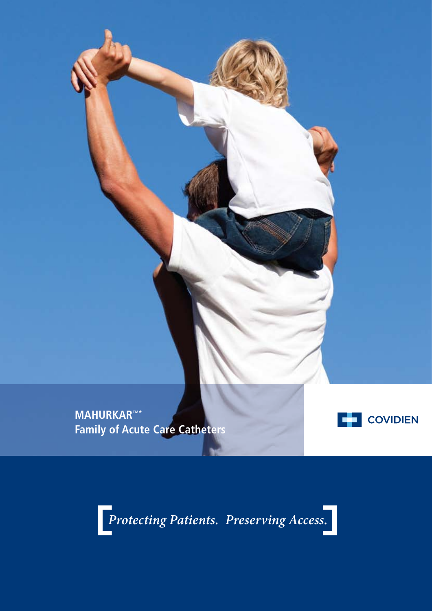**MAHURKAR™\* Family of Acute Care Catheters**



*Protecting Patients. Preserving Access.*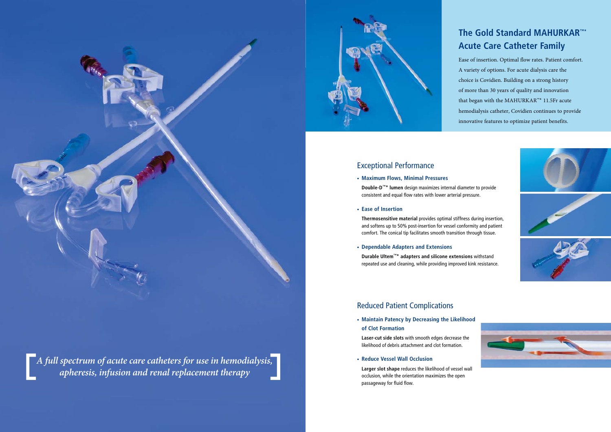# Exceptional Performance

**• Maximum Flows, Minimal Pressures**

**Double-D™\* lumen** design maximizes internal diameter to provide consistent and equal flow rates with lower arterial pressure.

**• Ease of Insertion**

**Thermosensitive material** provides optimal stiffness during insertion, and softens up to 50% post-insertion for vessel conformity and patient comfort. The conical tip facilitates smooth transition through tissue.

# **The Gold Standard MAHURKAR™\* Acute Care Catheter Family**

## **• Dependable Adapters and Extensions**

**Durable Ultem™\* adapters and silicone extensions** withstand repeated use and cleaning, while providing improved kink resistance.

Ease of insertion. Optimal flow rates. Patient comfort. A variety of options. For acute dialysis care the choice is Covidien. Building on a strong history of more than 30 years of quality and innovation that began with the MAHURKAR™\* 11.5Fr acute hemodialysis catheter, Covidien continues to provide innovative features to optimize patient benefits.







## Reduced Patient Complications

**• Maintain Patency by Decreasing the Likelihood of Clot Formation**

 **Laser-cut side slots** with smooth edges decrease the likelihood of debris attachment and clot formation.

**• Reduce Vessel Wall Occlusion**

**Larger slot shape** reduces the likelihood of vessel wall occlusion, while the orientation maximizes the open passageway for fluid flow.



*A full spectrum of acute care catheters for use in hemodialysis, apheresis, infusion and renal replacement therapy*

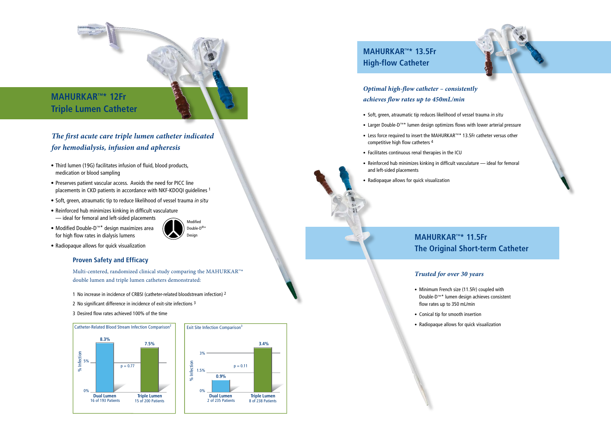



- Third lumen (19G) facilitates infusion of fluid, blood products, medication or blood sampling
- Preserves patient vascular access. Avoids the need for PICC line placements in CKD patients in accordance with NKF-KDOQI guidelines 1
- • Soft, green, atraumatic tip to reduce likelihood of vessel trauma *in situ*
- Reinforced hub minimizes kinking in difficult vasculature — ideal for femoral and left-sided placements
- • Modified Double-D™\* design maximizes area for high flow rates in dialysis lumens

Multi-centered, randomized clinical study comparing the MAHURKAR™\* double lumen and triple lumen catheters demonstrated:

- 1 No increase in incidence of CRBSI (catheter-related bloodstream infection) <sup>2</sup>
- 2 No significant difference in incidence of exit-site infections <sup>3</sup>
- 3 Desired flow rates achieved 100% of the time

# **MAHURKAR™\* 12Fr Triple Lumen Catheter** • **Catheter** • Soft, green, atraumatic tip reduces likelihood of vessel trauma *in situ*

## **Proven Safety and Efficacy**

• Minimum French size (11.5Fr) coupled with Double-D™\* lumen design achieves consistent



• Radiopaque allows for quick visualization

# *The first acute care triple lumen catheter indicated for hemodialysis, infusion and apheresis*

- 
- Larger Double-D™\* lumen design optimizes flows with lower arterial pressure
- Less force required to insert the Mahurkar™\* 13.5Fr catheter versus other competitive high flow catheters 4
- Facilitates continuous renal therapies in the ICU
- Reinforced hub minimizes kinking in difficult vasculature ideal for femoral and left-sided placements
- Radiopaque allows for quick visualization

- flow rates up to 350 mL/min
- Conical tip for smooth insertion
- Radiopaque allows for quick visualization



# **MAHURKAR™\* 13.5Fr High-flow Catheter**

## *Optimal high-flow catheter – consistently achieves flow rates up to 450mL/min*

## *Trusted for over 30 years*

# **MAHURKAR™\* 11.5Fr The Original Short-term Catheter**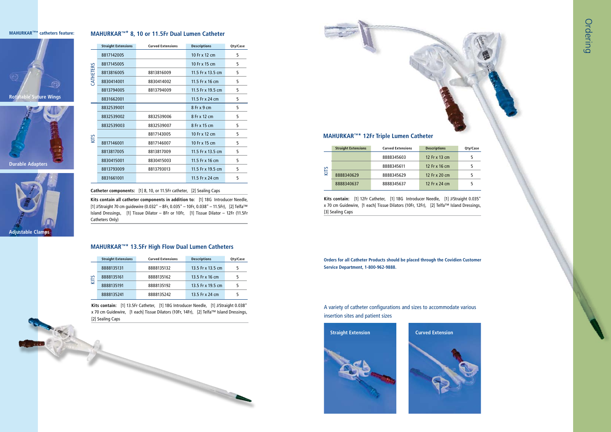|      | <b>Straight Extensions</b> | <b>Curved Extensions</b> | <b>Descriptions</b> | Qty/Case |
|------|----------------------------|--------------------------|---------------------|----------|
| KITS | 8888135131                 | 8888135132               | 13.5 Fr x 13.5 cm   |          |
|      | 8888135161                 | 8888135162               | 13.5 Fr x 16 cm     |          |
|      | 8888135191                 | 8888135192               | 13.5 Fr x 19.5 cm   |          |
|      | 8888135241                 | 8888135242               | 13.5 Fr x 24 cm     |          |

## **Mahurkar™\* 13.5Fr High Flow Dual Lumen Catheters**

**Kits contain:** [1] 13.5Fr Catheter, [1] 18G Introducer Needle, [1] J/Straight 0.038" x 70 cm Guidewire, [1 each] Tissue Dilators (10Fr, 14Fr), [2] Telfa™ Island Dressings, [2] Sealing Caps



**Catheter components:** [1] 8, 10, or 11.5Fr catheter, [2] Sealing Caps

**Kits contain all catheter components in addition to:** [1] 18G Introducer Needle, [1] J/Straight 70 cm guidewire (0.032" – 8Fr, 0.035" – 10Fr, 0.038" – 11.5Fr), [2] Telfa™ Island Dressings, [1] Tissue Dilator – 8Fr or 10Fr, [1] Tissue Dilator – 12Fr (11.5Fr Catheters Only)

| <b>Straight Extensions</b> | <b>Curved Extensions</b> | <b>Descriptions</b>      | Qty/Case |
|----------------------------|--------------------------|--------------------------|----------|
| 8817142005                 |                          | 10 Fr x 12 cm            | 5        |
| 8817145005                 |                          | 10 Fr x 15 cm            | 5        |
| 8813816005                 | 8813816009               | 11.5 Fr $\times$ 13.5 cm | 5        |
| 8830414001                 | 8830414002               | 11.5 Fr x 16 cm          | 5        |
| 8813794005                 | 8813794009               | 11.5 Fr x 19.5 cm        | 5        |
| 8831662001                 |                          | 11.5 Fr x 24 cm          | 5        |
| 8832539001                 |                          | $8$ Fr x 9 cm            | 5        |
| 8832539002                 | 8832539006               | 8 Fr x 12 cm             | 5        |
| 8832539003                 | 8832539007               | 8 Fr x 15 cm             | 5        |
|                            | 8817143005               | 10 Fr x 12 cm            | 5        |
| 8817146001                 | 8817146007               | 10 Fr x 15 cm            | 5        |
| 8813817005                 | 8813817009               | 11.5 Fr x 13.5 cm        | 5        |
| 8830415001                 | 8830415003               | 11.5 Fr x 16 cm          | 5        |
| 8813793009                 | 8813793013               | 11.5 Fr x 19.5 cm        | 5        |
| 8831661001                 |                          | 11.5 Fr x 24 cm          | 5        |

Kits Catheters

KITS

**CATHETERS** 

## **Mahurkar™\* 8, 10 or 11.5Fr Dual Lumen Catheter**







## **MAHURKAR™\* catheters feature:**

**Orders for all Catheter Products should be placed through the Covidien Customer Service Department, 1-800-962-9888.** 

A variety of catheter configurations and sizes to accommodate various insertion sites and patient sizes







## **Mahurkar™\* 12Fr Triple Lumen Catheter**

# **Straight Extensions Curved Extensions Descriptions Qty/Case**



|      | <b>Straight Extensions</b> | <b>Curved Extensions</b> | <b>Descriptions</b> | Qty/ |
|------|----------------------------|--------------------------|---------------------|------|
| KITS |                            | 8888345603               | 12 Fr x 13 cm       | 5    |
|      |                            | 8888345611               | 12 Fr x 16 cm       | 5    |
|      | 8888340629                 | 8888345629               | 12 Fr x 20 cm       | 5    |
|      | 8888340637                 | 8888345637               | 12 Fr x 24 cm       | 5    |

**Kits contain:** [1] 12Fr Catheter, [1] 18G Introducer Needle, [1] J/Straight 0.035" x 70 cm Guidewire, [1 each] Tissue Dilators (10Fr, 12Fr), [2] Telfa™ Island Dressings, [3] Sealing Caps